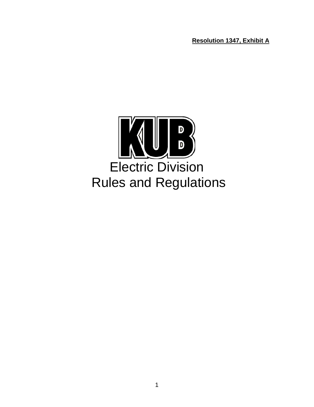**Resolution 1347, Exhibit A**

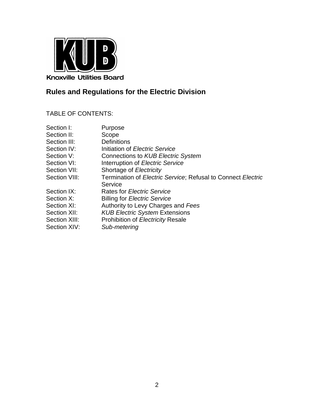

# **Rules and Regulations for the Electric Division**

# TABLE OF CONTENTS:

| Section I:    | Purpose                                                                     |
|---------------|-----------------------------------------------------------------------------|
| Section II:   | Scope                                                                       |
| Section III:  | <b>Definitions</b>                                                          |
| Section IV:   | Initiation of Electric Service                                              |
| Section V:    | Connections to KUB Electric System                                          |
| Section VI:   | Interruption of Electric Service                                            |
| Section VII:  | Shortage of Electricity                                                     |
| Section VIII: | Termination of <i>Electric Service</i> ; Refusal to Connect <i>Electric</i> |
|               | Service                                                                     |
| Section IX:   | <b>Rates for Electric Service</b>                                           |
| Section X:    | <b>Billing for Electric Service</b>                                         |
| Section XI:   | Authority to Levy Charges and Fees                                          |
| Section XII:  | <b>KUB Electric System Extensions</b>                                       |
| Section XIII: | Prohibition of Electricity Resale                                           |
| Section XIV:  | Sub-metering                                                                |
|               |                                                                             |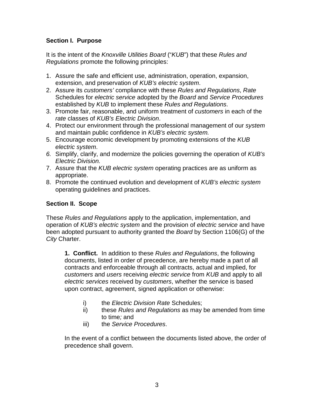# **Section I. Purpose**

It is the intent of the *Knoxville Utilities Board* ("*KUB*") that these *Rules and Regulations* promote the following principles:

- 1. Assure the safe and efficient use, administration, operation, expansion, extension, and preservation of *KUB's electric system*.
- 2. Assure its *customers'* compliance with these *Rules and Regulations*, *Rate* Schedules for *electric service* adopted by the *Board* and *Service Procedures* established by *KUB* to implement these *Rules and Regulations*.
- 3. Promote fair, reasonable, and uniform treatment of *customers* in each of the *rate* classes of *KUB's Electric Division*.
- 4. Protect our environment through the professional management of our *system* and maintain public confidence in *KUB's electric system.*
- 5. Encourage economic development by promoting extensions of the *KUB electric system*.
- *6.* Simplify, clarify, and modernize the policies governing the operation of *KUB's Electric Division.*
- 7. Assure that the *KUB electric system* operating practices are as uniform as appropriate.
- 8. Promote the continued evolution and development of *KUB's electric system*  operating guidelines and practices.

# **Section II. Scope**

These *Rules and Regulations* apply to the application, implementation, and operation of *KUB's electric system* and the provision of *electric service* and have been adopted pursuant to authority granted the *Board* by Section 1106(G) of the *City* Charter.

**1. Conflict.** In addition to these *Rules and Regulations*, the following documents, listed in order of precedence, are hereby made a part of all contracts and enforceable through all contracts, actual and implied, for *customers* and *users* receiving *electric service* from *KUB* and apply to all *electric services* received by *customers*, whether the service is based upon contract, agreement, signed application or otherwise:

- i) the *Electric Division Rate* Schedules;
- ii) these *Rules and Regulations* as may be amended from time to time*;* and
- iii) the *Service Procedures*.

In the event of a conflict between the documents listed above, the order of precedence shall govern.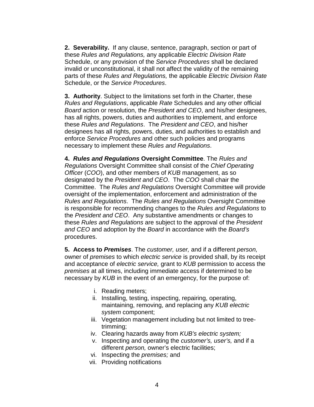**2. Severability.** If any clause, sentence, paragraph, section or part of these *Rules and Regulations,* any applicable *Electric Division Rate* Schedule, or any provision of the *Service Procedures* shall be declared invalid or unconstitutional, it shall not affect the validity of the remaining parts of these *Rules and Regulations,* the applicable *Electric Division Rate* Schedule, or the *Service Procedures*.

**3. Authority**. Subject to the limitations set forth in the Charter, these *Rules and Regulations*, applicable *Rate* Schedules and any other official *Board* action or resolution, the *President and CEO*, and his/her designees, has all rights, powers, duties and authorities to implement, and enforce these *Rules and Regulations*. The *President and CEO*, and his/her designees has all rights, powers, duties, and authorities to establish and enforce *Service Procedures* and other such policies and programs necessary to implement these *Rules and Regulations*.

**4.** *Rules and Regulations* **Oversight Committee**. The *Rules and Regulations* Oversight Committee shall consist of the *Chief Operating Officer* (*COO*), and other members of *KUB* management, as so designated by the *President and CEO*. The *COO* shall chair the Committee. The *Rules and Regulations* Oversight Committee will provide oversight of the implementation, enforcement and administration of the *Rules and Regulations*. The *Rules and Regulations* Oversight Committee is responsible for recommending changes to the *Rules and Regulations* to the *President and CEO*. Any substantive amendments or changes to these *Rules and Regulations* are subject to the approval of the *President and CEO* and adoption by the *Board* in accordance with the *Board's* procedures.

**5. Access to** *Premises*. The *customer, user,* and if a different *person,*  owner of *premises* to which *electric service* is provided shall, by its receipt and acceptance of *electric service,* grant to *KUB* permission to access the *premises* at all times, including immediate access if determined to be necessary by *KUB* in the event of an emergency, for the purpose of:

- i. Reading meters;
- ii. Installing, testing, inspecting, repairing, operating, maintaining, removing, and replacing any *KUB electric system* component;
- iii. Vegetation management including but not limited to treetrimming;
- iv. Clearing hazards away from *KUB's electric system;*
- v. Inspecting and operating the *customer's, user's,* and if a different *person,* owner's electric facilities;
- vi. Inspecting the *premises;* and
- vii. Providing notifications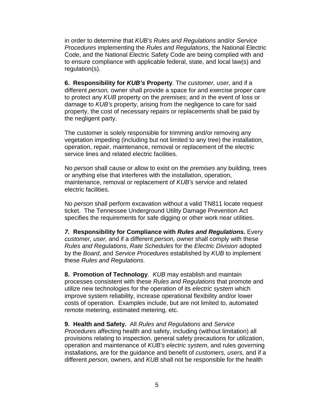in order to determine that *KUB's Rules and Regulations* and/or *Service Procedures* implementing the *Rules and Regulations*, the National Electric Code, and the National Electric Safety Code are being complied with and to ensure compliance with applicable federal, state, and local law(s) and regulation(s).

**6. Responsibility for** *KUB's* **Property**. The *customer, user,* and if a different *person,* owner shall provide a space for and exercise proper care to protect any *KUB* property on the *premises*; and in the event of loss or damage to *KUB's* property, arising from the negligence to care for said property, the cost of necessary repairs or replacements shall be paid by the negligent party.

The customer is solely responsible for trimming and/or removing any vegetation impeding (including but not limited to any tree) the installation, operation, repair, maintenance, removal or replacement of the electric service lines and related electric facilities.

No *person* shall cause or allow to exist on the *premises* any building, trees or anything else that interferes with the installation, operation, maintenance, removal or replacement of *KUB's* service and related electric facilities.

No *person* shall perform excavation without a valid TN811 locate request ticket. The Tennessee Underground Utility Damage Prevention Act specifies the requirements for safe digging or other work near utilities.

*7.* **Responsibility for Compliance with** *Rules and Regulations***.** Every *customer, user,* and if a different *person,* owner shall comply with these *Rules and Regulations*, *Rate Schedules* for the *Electric Division* adopted by the *Board*, and *Service Procedures* established by *KUB* to implement these *Rules and Regulations.*

**8. Promotion of Technology**. *KUB* may establish and maintain processes consistent with these *Rules and Regulations* that promote and utilize new technologies for the operation of its *electric system* which improve system reliability, increase operational flexibility and/or lower costs of operation. Examples include, but are not limited to, automated remote metering, estimated metering, etc.

## **9. Health and Safety.** All *Rules and Regulations* and *Service*

*Procedures* affecting health and safety, including (without limitation) all provisions relating to inspection, general safety precautions for utilization, operation and maintenance of *KUB's electric system*, and rules governing installations, are for the guidance and benefit of *customers, users,* and if a different *person,* owners, and *KUB* shall not be responsible for the health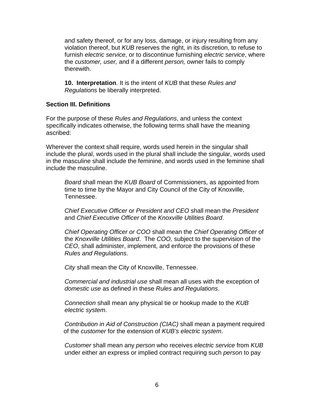and safety thereof, or for any loss, damage, or injury resulting from any violation thereof, but *KUB* reserves the right, in its discretion, to refuse to furnish *electric service*, or to discontinue furnishing *electric service*, where the *customer, user,* and if a different *person,* owner fails to comply therewith.

**10. Interpretation**. It is the intent of *KUB* that these *Rules and Regulations* be liberally interpreted.

#### **Section III. Definitions**

For the purpose of these *Rules and Regulations*, and unless the context specifically indicates otherwise, the following terms shall have the meaning ascribed:

Wherever the context shall require, words used herein in the singular shall include the plural, words used in the plural shall include the singular, words used in the masculine shall include the feminine, and words used in the feminine shall include the masculine.

*Board* shall mean the *KUB Board* of Commissioners, as appointed from time to time by the Mayor and City Council of the City of Knoxville, Tennessee.

*Chief Executive Officer* or *President and CEO* shall mean the *President*  and *Chief Executive Officer* of the *Knoxville Utilities Board*.

*Chief Operating Officer or COO* shall mean the *Chief Operating Officer* of the *Knoxville Utilities Board*. The *COO,* subject to the supervision of the *CEO*, shall administer, implement, and enforce the provisions of these *Rules and Regulations*.

*City* shall mean the City of Knoxville, Tennessee.

*Commercial and industrial use* shall mean all uses with the exception of *domestic use* as defined in these *Rules and Regulations*.

*Connection* shall mean any physical tie or hookup made to the *KUB electric system*.

*Contribution in Aid of Construction (CIAC)* shall mean a payment required of the *customer* for the extension of *KUB's electric system*.

*Customer* shall mean any *person* who receives *electric service* from *KUB* under either an express or implied contract requiring such *person* to pay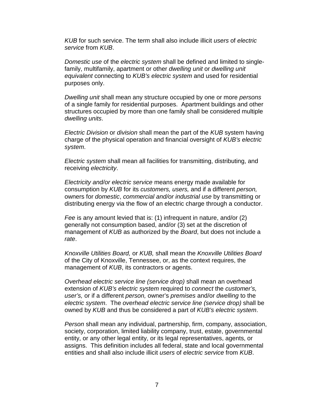*KUB* for such service. The term shall also include illicit *users* of *electric service* from *KUB*.

*Domestic use* of the *electric system* shall be defined and limited to singlefamily, multifamily, apartment or other *dwelling unit* or *dwelling unit equivalent* connecting to *KUB's electric system* and used for residential purposes only.

*Dwelling unit* shall mean any structure occupied by one or more *persons* of a single family for residential purposes. Apartment buildings and other structures occupied by more than one family shall be considered multiple *dwelling units*.

*Electric Division* or *division* shall mean the part of the *KUB* system having charge of the physical operation and financial oversight of *KUB's electric system*.

*Electric system* shall mean all facilities for transmitting, distributing, and receiving *electricity*.

*Electricity and/or electric service* means energy made available for consumption by *KUB* for its *customers, users,* and if a different *person,*  owners for *domestic*, *commercial and/or industrial use* by transmitting or distributing energy via the flow of an electric charge through a conductor.

*Fee* is any amount levied that is: (1) infrequent in nature, and/or (2) generally not consumption based, and/or (3) set at the discretion of management of *KUB* as authorized by the *Board*, but does not include a *rate*.

*Knoxville Utilities Board,* or *KUB,* shall mean the *Knoxville Utilities Board* of the City of Knoxville, Tennessee, or, as the context requires, the management of *KUB*, its contractors or agents.

*Overhead electric service line (service drop)* shall mean an overhead extension of *KUB's electric system* required to *connect* the *customer's, user's,* or if a different *person,* owner's *premises* and/or *dwelling* to the *electric system*. The *overhead electric service line (service drop)* shall be owned by *KUB* and thus be considered a part of *KUB's electric system*.

*Person* shall mean any individual, partnership, firm, company, association, society, corporation, limited liability company, trust, estate, governmental entity, or any other legal entity, or its legal representatives, agents, or assigns. This definition includes all federal, state and local governmental entities and shall also include illicit *users* of *electric service* from *KUB*.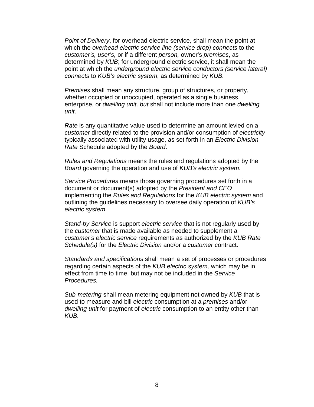*Point of Delivery*, for overhead electric service, shall mean the point at which the *overhead electric service line (service drop) connects* to the *customer's, user's,* or if a different *person,* owner's *premises*, as determined by *KUB*; for underground electric service, it shall mean the point at which the *underground electric service conductors (service lateral) connects* to *KUB's electric system*, as determined by *KUB.*

*Premises* shall mean any structure, group of structures, or property, whether occupied or unoccupied, operated as a single business, enterprise, or *dwelling unit, but* shall not include more than one *dwelling unit*.

*Rate* is any quantitative value used to determine an amount levied on a *customer* directly related to the provision and/or consumption of *electricity* typically associated with utility usage, as set forth in an *Electric Division Rate* Schedule adopted by the *Board*.

*Rules and Regulations* means the rules and regulations adopted by the *Board* governing the operation and use of *KUB's electric system*.

*Service Procedures* means those governing procedures set forth in a document or document(s) adopted by the *President and CEO* implementing the *Rules and Regulations* for the *KUB electric system* and outlining the guidelines necessary to oversee daily operation of *KUB's electric system*.

*Stand-by Service* is support *electric service* that is not regularly used by the *customer* that is made available as needed to supplement a *customer's electric service* requirements as authorized by the *KUB Rate Schedule(s)* for the *Electric Division* and/or a *customer* contract.

*Standards and specifications* shall mean a set of processes or procedures regarding certain aspects of the *KUB electric system,* which may be in effect from time to time, but may not be included in the *Service Procedures.*

*Sub-metering* shall mean metering equipment not owned by *KUB* that is used to measure and bill *electric* consumption at a *premises* and/or *dwelling unit* for payment of *electric* consumption to an entity other than *KUB.*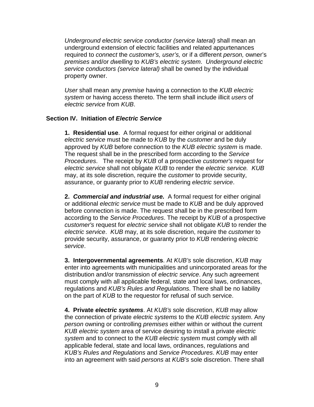*Underground electric service conductor (service lateral)* shall mean an underground extension of electric facilities and related appurtenances required to *connect* the *customer's, user's,* or if a different *person,* owner's *premises* and/or *dwelling* to *KUB's electric system*. *Underground electric service conductors (service lateral)* shall be owned by the individual property owner.

*User* shall mean any *premise* having a connection to the *KUB electric system* or having access thereto. The term shall include illicit *users* of *electric service* from *KUB*.

## **Section IV. Initiation of** *Electric Service*

**1. Residential use**. A formal request for either original or additional *electric service* must be made to *KUB* by the *customer* and be duly approved by *KUB* before connection to the *KUB electric system* is made. The request shall be in the prescribed form according to the *Service Procedures*. The receipt by *KUB* of a prospective *customer's* request for *electric service* shall not obligate *KUB* to render the *electric service. KUB* may, at its sole discretion, require the *customer* to provide security, assurance, or guaranty prior to *KUB* rendering *electric service*.

**2.** *Commercial and industrial use.* A formal request for either original or additional *electric service* must be made to *KUB* and be duly approved before connection is made. The request shall be in the prescribed form according to the *Service Procedures*. The receipt by *KUB* of a prospective *customer's* request for *electric service* shall not obligate *KUB* to render the *electric service*. *KUB* may, at its sole discretion, require the *customer* to provide security, assurance, or guaranty prior to *KUB* rendering *electric service*.

**3. Intergovernmental agreements**. At *KUB's* sole discretion, *KUB* may enter into agreements with municipalities and unincorporated areas for the distribution and/or transmission of *electric service*. Any such agreement must comply with all applicable federal, state and local laws, ordinances, regulations and *KUB's Rules and Regulations*. There shall be no liability on the part of *KUB* to the requestor for refusal of such service.

**4. Private** *electric systems*. At *KUB's* sole discretion, *KUB* may allow the connection of private *electric systems* to the *KUB electric system*. Any *person* owning or controlling *premises* either within or without the current *KUB electric system* area of service desiring to install a private *electric system* and to connect to the *KUB electric system* must comply with all applicable federal, state and local laws, ordinances, regulations and *KUB's Rules and Regulations* and *Service Procedures*. *KUB* may enter into an agreement with said *persons* at *KUB's* sole discretion. There shall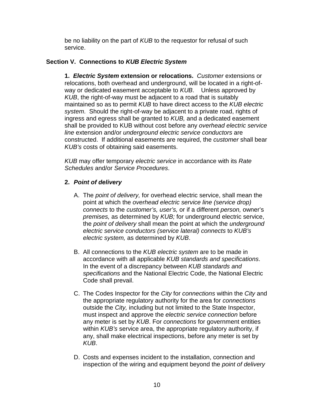be no liability on the part of *KUB* to the requestor for refusal of such service.

# **Section V. Connections to** *KUB Electric System*

**1.** *Electric System* **extension or relocations.** *Customer* extensions or relocations, both overhead and underground, will be located in a right-ofway or dedicated easement acceptable to *KUB*. Unless approved by *KUB*, the right-of-way must be adjacent to a road that is suitably maintained so as to permit *KUB* to have direct access to the *KUB electric system*. Should the right-of-way be adjacent to a private road, rights of ingress and egress shall be granted to *KUB,* and a dedicated easement shall be provided to KUB without cost before any *overhead electric service line* extension and/or *underground electric service conductors* are constructed. If additional easements are required, the *customer* shall bear *KUB's* costs of obtaining said easements.

*KUB* may offer temporary *electric service* in accordance with its *Rate Schedules* and/or *Service Procedures*.

# **2.** *Point of delivery*

- A. The *point of delivery,* for overhead electric service, shall mean the point at which the *overhead electric service line (service drop) connects* to the *customer's, user's,* or if a different *person,* owner's *premises,* as determined by *KUB;* for underground electric service, the *point of delivery* shall mean the point at which the *underground electric service conductors (service lateral) connects* to *KUB's electric system,* as determined by *KUB*.
- B. All connections to the *KUB electric system* are to be made in accordance with all applicable *KUB standards and specifications*. In the event of a discrepancy between *KUB standards and specifications* and the National Electric Code, the National Electric Code shall prevail.
- C. The Codes Inspector for the *City* for *connections* within the *City* and the appropriate regulatory authority for the area for *connections* outside the *City,* including but not limited to the State Inspector, must inspect and approve the *electric service connection* before any meter is set by *KUB*. For *connections* for government entities within *KUB's* service area, the appropriate regulatory authority, if any, shall make electrical inspections, before any meter is set by *KUB*.
- D. Costs and expenses incident to the installation, connection and inspection of the wiring and equipment beyond the *point of delivery*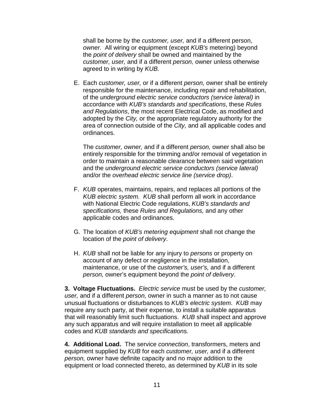shall be borne by the *customer, user,* and if a different person, *owner.* All wiring or equipment (except *KUB's* metering) beyond the *point of delivery* shall be owned and maintained by the *customer, user,* and if a different *person,* owner unless otherwise agreed to in writing by *KUB.*

E. Each *customer, user,* or if a different *person,* owner shall be entirely responsible for the maintenance, including repair and rehabilitation, of the *underground electric service conductors (service lateral)* in accordance with *KUB's standards and specifications*, these *Rules and Regulations*, the most recent Electrical Code, as modified and adopted by the *City,* or the appropriate regulatory authority for the area of connection outside of the *City,* and all applicable codes and ordinances.

The *customer, owner,* and if a different *person,* owner shall also be entirely responsible for the trimming and/or removal of vegetation in order to maintain a reasonable clearance between said vegetation and the *underground electric service conductors (service lateral)* and/or the *overhead electric service line (service drop)*.

- F. *KUB* operates, maintains, repairs, and replaces all portions of the *KUB electric system. KUB* shall perform all work in accordance with National Electric Code regulations, *KUB's standards and specifications,* these *Rules and Regulations,* and any other applicable codes and ordinances.
- G. The location of *KUB's metering equipment* shall not change the location of the *point of delivery*.
- H. *KUB* shall not be liable for any injury to *persons* or property on account of any defect or negligence in the installation, maintenance, or use of the *customer's, user's,* and if a different *person,* owner's equipment beyond the *point of delivery*.

**3. Voltage Fluctuations.** *Electric service* must be used by the *customer, user,* and if a different *person,* owner in such a manner as to not cause unusual fluctuations or disturbances to *KUB's electric system*. *KUB* may require any such party, at their expense, to install a suitable apparatus that will reasonably limit such fluctuations. *KUB* shall inspect and approve any such apparatus and will require installation to meet all applicable codes and *KUB standards and specifications.*

**4. Additional Load.** The service *connection*, transformers, meters and equipment supplied by *KUB* for each *customer, user,* and if a different *person,* owner have definite capacity and no major addition to the equipment or load connected thereto, as determined by *KUB* in its sole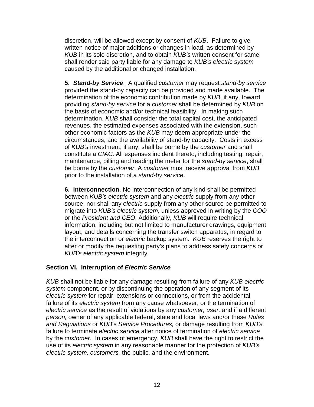discretion, will be allowed except by consent of *KUB*. Failure to give written notice of major additions or changes in load, as determined by *KUB* in its sole discretion, and to obtain *KUB's* written consent for same shall render said party liable for any damage to *KUB's electric system* caused by the additional or changed installation.

**5.** *Stand-by Service*. A qualified *customer* may request *stand-by service* provided the stand-by capacity can be provided and made available. The determination of the economic contribution made by *KUB*, if any, toward providing *stand-by service* for a *customer* shall be determined by *KUB* on the basis of economic and/or technical feasibility. In making such determination, *KUB* shall consider the total capital cost, the anticipated revenues, the estimated expenses associated with the extension, such other economic factors as the *KUB* may deem appropriate under the circumstances, and the availability of stand-by capacity. Costs in excess of *KUB's* investment, if any, shall be borne by the *customer* and shall constitute a *CIAC*. All expenses incident thereto, including testing, repair, maintenance, billing and reading the meter for the *stand-by service*, shall be borne by the *customer*. A *customer* must receive approval from *KUB*  prior to the installation of a *stand-by service*.

**6. Interconnection**. No interconnection of any kind shall be permitted between *KUB's electric system* and any *electric* supply from any other source, nor shall any *electric* supply from any other source be permitted to migrate into *KUB's electric system,* unless approved in writing by the *COO*  or the *President and CEO*. Additionally, *KUB* will require technical information, including but not limited to manufacturer drawings, equipment layout, and details concerning the transfer switch apparatus, in regard to the interconnection or *electric* backup system. *KUB* reserves the right to alter or modify the requesting party's plans to address safety concerns or *KUB's electric system* integrity.

# **Section VI. Interruption of** *Electric Service*

*KUB* shall not be liable for any damage resulting from failure of any *KUB electric system* component, or by discontinuing the operation of any segment of its *electric system* for repair, extensions or connections, or from the accidental failure of its *electric system* from any cause whatsoever, or the termination of *electric service* as the result of violations by any *customer, user,* and if a different *person,* owner of any applicable federal, state and local laws and/or these *Rules and Regulations* or *KUB*'s *Service Procedures,* or damage resulting from *KUB's* failure to terminate *electric service* after notice of termination of *electric service* by the *customer*. In cases of emergency, *KUB* shall have the right to restrict the use of its *electric system* in any reasonable manner for the protection of *KUB's electric system, customers,* the public, and the environment.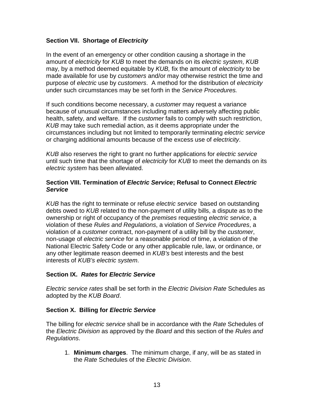## **Section VII. Shortage of** *Electricity*

In the event of an emergency or other condition causing a shortage in the amount of *electricity* for *KUB* to meet the demands on its *electric system*, *KUB* may, by a method deemed equitable by *KUB,* fix the amount of *electricity* to be made available for use by *customers* and/or may otherwise restrict the time and purpose of *electric* use by *customers*. A method for the distribution of *electricity*  under such circumstances may be set forth in the *Service Procedures.*

If such conditions become necessary, a *customer* may request a variance because of unusual circumstances including matters adversely affecting public health, safety, and welfare. If the *customer* fails to comply with such restriction, *KUB* may take such remedial action, as it deems appropriate under the circumstances including but not limited to temporarily terminating *electric service*  or charging additional amounts because of the excess use of *electricity*.

*KUB* also reserves the right to grant no further applications for *electric service* until such time that the shortage of *electricity* for *KUB* to meet the demands on its *electric system* has been alleviated.

## **Section VIII. Termination of** *Electric Service***; Refusal to Connect** *Electric Service*

*KUB* has the right to terminate or refuse *electric service* based on outstanding debts owed to *KUB* related to the non-payment of utility bills, a dispute as to the ownership or right of occupancy of the *premises* requesting *electric service*, a violation of these *Rules and Regulations*, a violation of *Service Procedures*, a violation of a *customer* contract, non-payment of a utility bill by the *customer*, non-usage of *electric service* for a reasonable period of time, a violation of the National Electric Safety Code or any other applicable rule, law, or ordinance, or any other legitimate reason deemed in *KUB's* best interests and the best interests of *KUB's electric system*.

## **Section IX.** *Rates* **for** *Electric Service*

*Electric service rates* shall be set forth in the *Electric Division Rate* Schedules as adopted by the *KUB Board*.

## **Section X. Billing for** *Electric Service*

The billing for *electric service* shall be in accordance with the *Rate* Schedules of the *Electric Division* as approved by the *Board* and this section of the *Rules and Regulations*.

1. **Minimum charges**. The minimum charge, if any, will be as stated in the *Rate* Schedules of the *Electric Division*.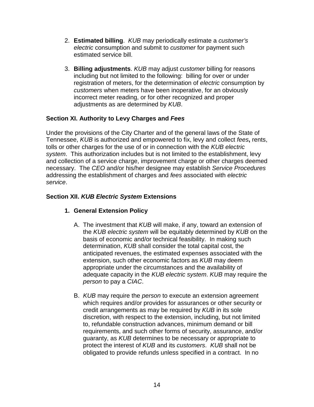- 2. **Estimated billing**. *KUB* may periodically estimate a *customer's electric* consumption and submit to *customer* for payment such estimated service bill.
- 3. **Billing adjustments**. *KUB* may adjust *customer* billing for reasons including but not limited to the following: billing for over or under registration of meters, for the determination of *electric* consumption by *customers* when meters have been inoperative, for an obviously incorrect meter reading, or for other recognized and proper adjustments as are determined by *KUB*.

# **Section XI. Authority to Levy Charges and** *Fees*

Under the provisions of the City Charter and of the general laws of the State of Tennessee, *KUB* is authorized and empowered to fix, levy and collect *fees***,** rents, tolls or other charges for the use of or in connection with the *KUB electric system*. This authorization includes but is not limited to the establishment, levy and collection of a service charge, improvement charge or other charges deemed necessary. The *CEO* and/or his/her designee may establish *Service Procedures* addressing the establishment of charges and *fees* associated with *electric service*.

# **Section XII.** *KUB Electric System* **Extensions**

# **1. General Extension Policy**

- A. The investment that *KUB* will make, if any, toward an extension of the *KUB electric system* will be equitably determined by *KUB* on the basis of economic and/or technical feasibility. In making such determination, *KUB* shall consider the total capital cost, the anticipated revenues, the estimated expenses associated with the extension, such other economic factors as *KUB* may deem appropriate under the circumstances and the availability of adequate capacity in the *KUB electric system*. *KUB* may require the *person* to pay a *CIAC*.
- B. *KUB* may require the *person* to execute an extension agreement which requires and/or provides for assurances or other security or credit arrangements as may be required by *KUB* in its sole discretion, with respect to the extension, including, but not limited to, refundable construction advances, minimum demand or bill requirements, and such other forms of security, assurance, and/or guaranty, as *KUB* determines to be necessary or appropriate to protect the interest of *KUB* and its *customers*. *KUB* shall not be obligated to provide refunds unless specified in a contract. In no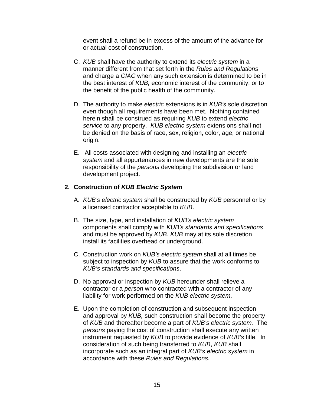event shall a refund be in excess of the amount of the advance for or actual cost of construction.

- C. *KUB* shall have the authority to extend its *electric system* in a manner different from that set forth in the *Rules and Regulations* and charge a *CIAC* when any such extension is determined to be in the best interest of *KUB,* economic interest of the community, or to the benefit of the public health of the community.
- D. The authority to make *electric* extensions is in *KUB's* sole discretion even though all requirements have been met. Nothing contained herein shall be construed as requiring *KUB* to extend *electric service* to any property. *KUB electric system* extensions shall not be denied on the basis of race, sex, religion, color, age, or national origin.
- E. All costs associated with designing and installing an *electric system* and all appurtenances in new developments are the sole responsibility of the *persons* developing the subdivision or land development project.

## **2. Construction of** *KUB Electric System*

- A. *KUB's electric system* shall be constructed by *KUB* personnel or by a licensed contractor acceptable to *KUB*.
- B. The size, type, and installation of *KUB's electric system*  components shall comply with *KUB's standards and specifications* and must be approved by *KUB*. *KUB* may at its sole discretion install its facilities overhead or underground.
- C. Construction work on *KUB's electric system* shall at all times be subject to inspection by *KUB* to assure that the work conforms to *KUB's standards and specifications*.
- D. No approval or inspection by *KUB* hereunder shall relieve a contractor or a *person* who contracted with a contractor of any liability for work performed on the *KUB electric system*.
- E. Upon the completion of construction and subsequent inspection and approval by *KUB,* such construction shall become the property of *KUB* and thereafter become a part of *KUB's electric system.* The *persons* paying the cost of construction shall execute any written instrument requested by *KUB* to provide evidence of *KUB's* title. In consideration of such being transferred to *KUB*, *KUB* shall incorporate such as an integral part of *KUB's electric system* in accordance with these *Rules and Regulations*.